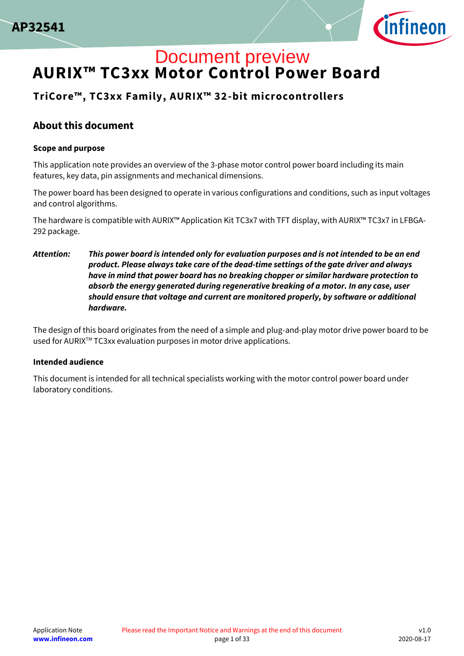



## **AURIX™ TC3xx Motor Control Power Board** Document preview

## **TriCore™, TC3xx Family, AURIX™ 32-bit microcontrollers**

### **About this document**

#### **Scope and purpose**

This application note provides an overview of the 3-phase motor control power board including its main features, key data, pin assignments and mechanical dimensions.

The power board has been designed to operate in various configurations and conditions, such as input voltages and control algorithms.

The hardware is compatible with AURIX™ Application Kit TC3x7 with TFT display, with AURIX™ TC3x7 in LFBGA-292 package.

*Attention: This power board is intended only for evaluation purposes and is not intended to be an end product. Please always take care of the dead-time settings of the gate driver and always have in mind that power board has no breaking chopper or similar hardware protection to absorb the energy generated during regenerative breaking of a motor. In any case, user should ensure that voltage and current are monitored properly, by software or additional hardware.* 

The design of this board originates from the need of a simple and plug-and-play motor drive power board to be used for AURIXTM TC3xx evaluation purposes in motor drive applications.

#### **Intended audience**

This document is intended for all technical specialists working with the motor control power board under laboratory conditions.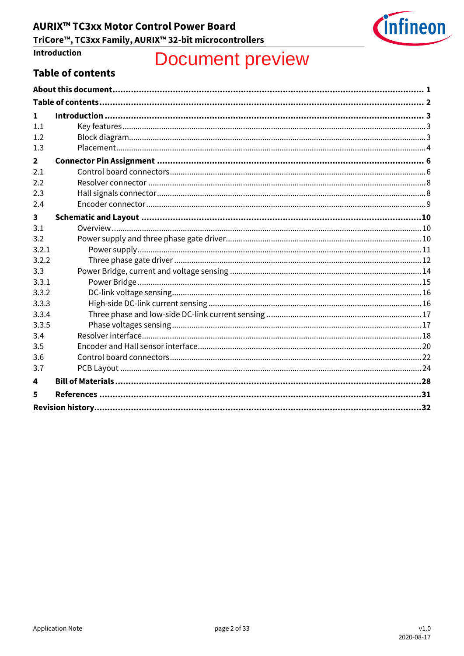

# Introduction

# **Document preview**

## <span id="page-1-0"></span>**Table of contents**

| 1            |  |  |  |  |  |
|--------------|--|--|--|--|--|
| 1.1          |  |  |  |  |  |
| 1.2          |  |  |  |  |  |
| 1.3          |  |  |  |  |  |
| $\mathbf{2}$ |  |  |  |  |  |
| 2.1          |  |  |  |  |  |
| 2.2          |  |  |  |  |  |
| 2.3          |  |  |  |  |  |
| 2.4          |  |  |  |  |  |
| $\mathbf{3}$ |  |  |  |  |  |
| 3.1          |  |  |  |  |  |
| 3.2          |  |  |  |  |  |
| 3.2.1        |  |  |  |  |  |
| 3.2.2        |  |  |  |  |  |
| 3.3          |  |  |  |  |  |
| 3.3.1        |  |  |  |  |  |
| 3.3.2        |  |  |  |  |  |
| 3.3.3        |  |  |  |  |  |
| 3.3.4        |  |  |  |  |  |
| 3.3.5        |  |  |  |  |  |
| 3.4          |  |  |  |  |  |
| 3.5          |  |  |  |  |  |
| 3.6          |  |  |  |  |  |
| 3.7          |  |  |  |  |  |
| 4            |  |  |  |  |  |
| 5            |  |  |  |  |  |
|              |  |  |  |  |  |
|              |  |  |  |  |  |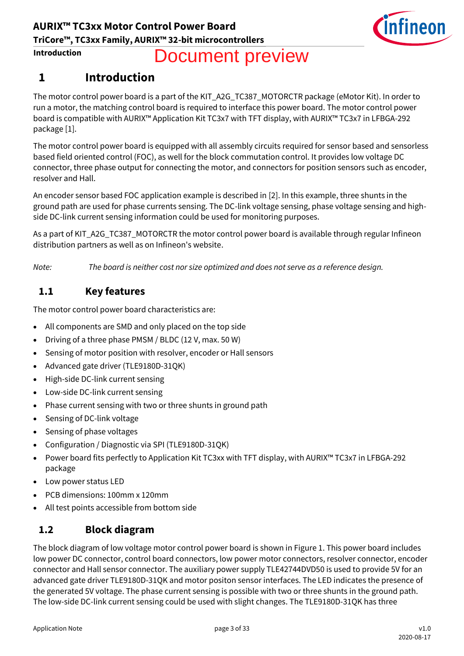

# Document preview

## **1 Introduction**

The motor control power board is a part of the KIT\_A2G\_TC387\_MOTORCTR package (eMotor Kit). In order to run a motor, the matching control board is required to interface this power board. The motor control power board is compatible with AURIX™ Application Kit TC3x7 with TFT display, with AURIX™ TC3x7 in LFBGA-292 package [\[1\].](#page--1-6)

The motor control power board is equipped with all assembly circuits required for sensor based and sensorless based field oriented control (FOC), as well for the block commutation control. It provides low voltage DC connector, three phase output for connecting the motor, and connectors for position sensors such as encoder, resolver and Hall.

An encoder sensor based FOC application example is described i[n \[2\].](#page--1-23) In this example, three shunts in the ground path are used for phase currents sensing. The DC-link voltage sensing, phase voltage sensing and highside DC-link current sensing information could be used for monitoring purposes.

As a part of KIT\_A2G\_TC387\_MOTORCTR the motor control power board is available through regular Infineon distribution partners as well as on Infineon's website.

*Note: The board is neither cost nor size optimized and does not serve as a reference design.*

## **1.1 Key features**

The motor control power board characteristics are:

- All components are SMD and only placed on the top side
- Driving of a three phase PMSM / BLDC (12 V, max. 50 W)
- Sensing of motor position with resolver, encoder or Hall sensors
- Advanced gate driver (TLE9180D-31QK)
- High-side DC-link current sensing
- Low-side DC-link current sensing
- Phase current sensing with two or three shunts in ground path
- Sensing of DC-link voltage
- Sensing of phase voltages
- Configuration / Diagnostic via SPI (TLE9180D-31QK)
- Power board fits perfectly to Application Kit TC3xx with TFT display, with AURIX™ TC3x7 in LFBGA-292 package
- Low power status LED
- PCB dimensions: 100mm x 120mm
- All test points accessible from bottom side

### **1.2 Block diagram**

The block diagram of low voltage motor control power board is shown i[n Figure 1.](#page--1-24) This power board includes low power DC connector, control board connectors, low power motor connectors, resolver connector, encoder connector and Hall sensor connector. The auxiliary power supply TLE42744DVD50 is used to provide 5V for an advanced gate driver TLE9180D-31QK and motor positon sensor interfaces. The LED indicates the presence of the generated 5V voltage. The phase current sensing is possible with two or three shunts in the ground path. The low-side DC-link current sensing could be used with slight changes. The TLE9180D-31QK has three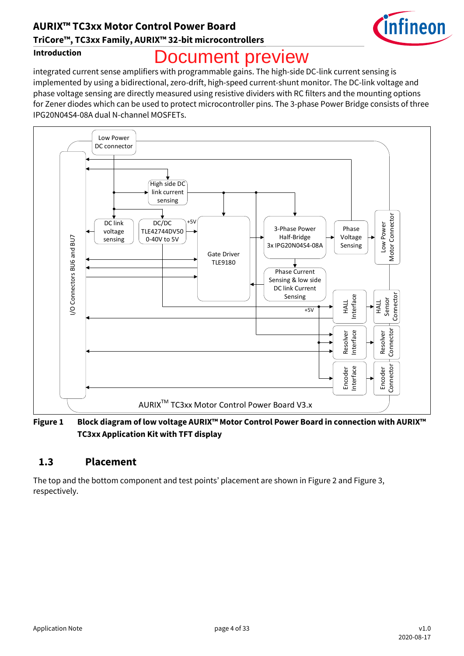## **AURIX™ TC3xx Motor Control Power Board TriCore™, TC3xx Family, AURIX™ 32-bit microcontrollers**



#### **Introduction**

# **Ocument preview**

integrated current sense amplifiers with programmable gains. The high-side DC-link current sensing is implemented by using a bidirectional, zero-drift, high-speed current-shunt monitor. The DC-link voltage and phase voltage sensing are directly measured using resistive dividers with RC filters and the mounting options for Zener diodes which can be used to protect microcontroller pins. The 3-phase Power Bridge consists of three IPG20N04S4-08A dual N-channel MOSFETs.



**Figure 1 Block diagram of low voltage AURIX™ Motor Control Power Board in connection with AURIX™ TC3xx Application Kit with TFT display**

### **1.3 Placement**

The top and the bottom component and test points' placement are shown in [Figure 2](#page--1-25) and [Figure 3,](#page--1-26) respectively.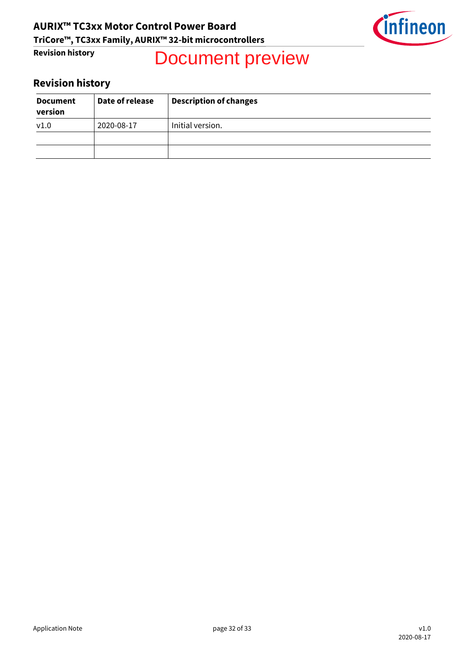

# Document preview

## **Revision history**

| <b>Document</b><br>version | Date of release | <b>Description of changes</b> |
|----------------------------|-----------------|-------------------------------|
| V1.0                       | 2020-08-17      | Initial version.              |
|                            |                 |                               |
|                            |                 |                               |